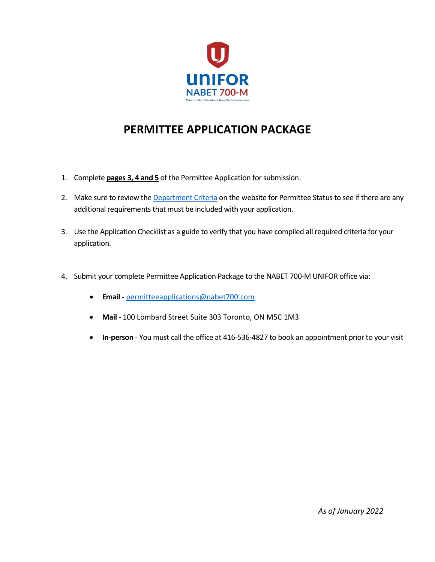

# **PERMITTEE APPLICATION PACKAGE**

- 1. Complete **pages 3, 4 and 5** of the Permittee Application for submission.
- 2. Make sure to review the Department Criteria on the website for Permittee Status to see if there are any additional requirements that must be included with your application.
- 3. Use the Application Checklist as a guide to verify that you have compiled all required criteria for your application.
- 4. Submit your complete Permittee Application Package to the NABET 700-M UNIFOR office via:
	- **Email -** permitteeapplications@nabet700.com
	- **Mail** 100 Lombard Street Suite 303 Toronto, ON M5C 1M3
	- **In-person** You must call the office at 416-536-4827 to book an appointment prior to your visit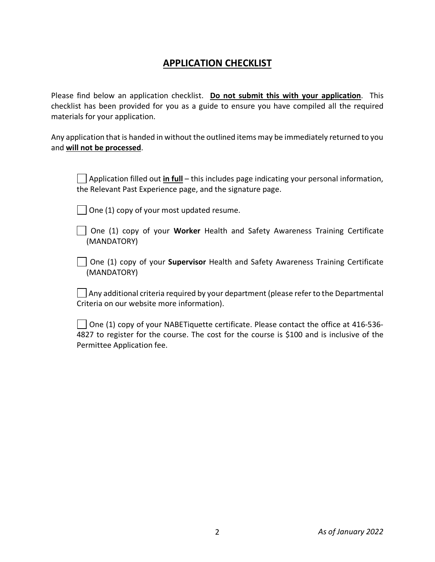### **APPLICATION CHECKLIST**

Please find below an application checklist. **Do not submit this with your application**. This checklist has been provided for you as a guide to ensure you have compiled all the required materials for your application.

Any application that is handed in without the outlined items may be immediately returned to you and **will not be processed**.

Application filled out **in full** – this includes page indicating your personal information, the Relevant Past Experience page, and the signature page.

 $\vert$   $\vert$  One (1) copy of your most updated resume.

One (1) copy of your **Worker** Health and Safety Awareness Training Certificate (MANDATORY)

One (1) copy of your **Supervisor** Health and Safety Awareness Training Certificate (MANDATORY)

 $\Box$  Any additional criteria required by your department (please refer to the Departmental Criteria on our website more information).

 $\vert$  | One (1) copy of your NABETiquette certificate. Please contact the office at 416-536-4827 to register for the course. The cost for the course is \$100 and is inclusive of the Permittee Application fee.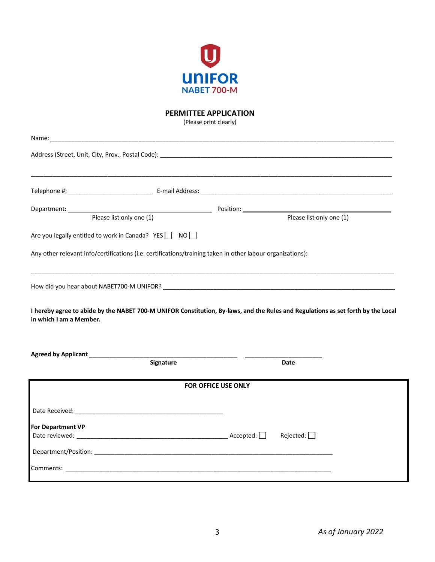

#### **PERMITTEE APPLICATION**

(Please print clearly)

| Name:                                                                                                                                                       |           |                            |                          |  |  |
|-------------------------------------------------------------------------------------------------------------------------------------------------------------|-----------|----------------------------|--------------------------|--|--|
|                                                                                                                                                             |           |                            |                          |  |  |
|                                                                                                                                                             |           |                            |                          |  |  |
|                                                                                                                                                             |           |                            |                          |  |  |
| Please list only one $\overline{(1)}$                                                                                                                       |           |                            | Please list only one (1) |  |  |
| Are you legally entitled to work in Canada? YES   NO                                                                                                        |           |                            |                          |  |  |
| Any other relevant info/certifications (i.e. certifications/training taken in other labour organizations):                                                  |           |                            |                          |  |  |
|                                                                                                                                                             |           |                            |                          |  |  |
| I hereby agree to abide by the NABET 700-M UNIFOR Constitution, By-laws, and the Rules and Regulations as set forth by the Local<br>in which I am a Member. |           |                            |                          |  |  |
|                                                                                                                                                             |           |                            |                          |  |  |
|                                                                                                                                                             | Signature |                            | Date                     |  |  |
|                                                                                                                                                             |           | <b>FOR OFFICE USE ONLY</b> |                          |  |  |
|                                                                                                                                                             |           |                            |                          |  |  |
| For Department VP                                                                                                                                           |           |                            |                          |  |  |
|                                                                                                                                                             |           |                            | Rejected:                |  |  |
|                                                                                                                                                             |           |                            |                          |  |  |
|                                                                                                                                                             |           |                            |                          |  |  |
|                                                                                                                                                             |           |                            |                          |  |  |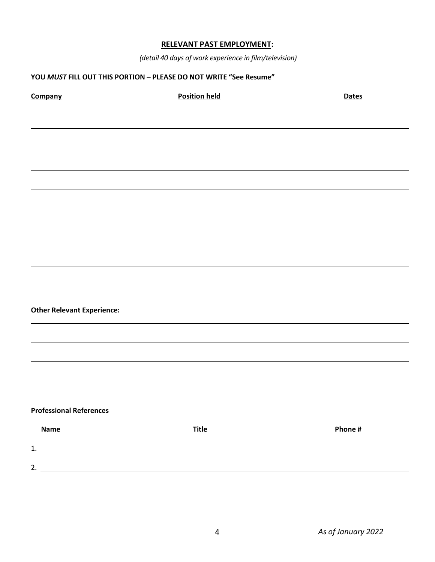### **RELEVANT PAST EMPLOYMENT:**

*(detail 40 days of work experience in film/television)*

#### **YOU** *MUST* **FILL OUT THIS PORTION – PLEASE DO NOT WRITE "See Resume"**

| Company                           | <b>Position held</b> | <b>Dates</b> |
|-----------------------------------|----------------------|--------------|
|                                   |                      |              |
|                                   |                      |              |
|                                   |                      |              |
|                                   |                      |              |
|                                   |                      |              |
|                                   |                      |              |
|                                   |                      |              |
|                                   |                      |              |
|                                   |                      |              |
|                                   |                      |              |
| <b>Other Relevant Experience:</b> |                      |              |
|                                   |                      |              |
|                                   |                      |              |
|                                   |                      |              |
|                                   |                      |              |
| <b>Professional References</b>    |                      |              |
| <b>Name</b>                       | <b>Title</b>         | Phone #      |
| $\qquad \qquad 1.$                |                      |              |
|                                   | 2.                   |              |